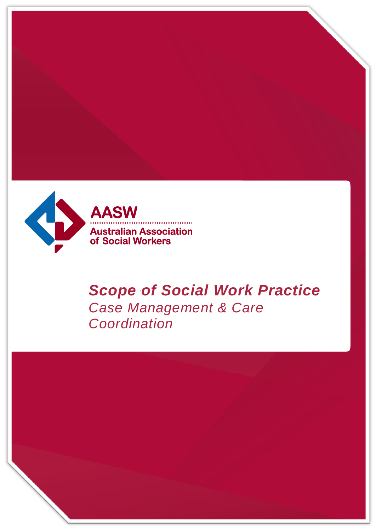

AASW **Australian Association<br>of Social Workers** 

# *Scope of Social Work Practice Case Management & Care Coordination*

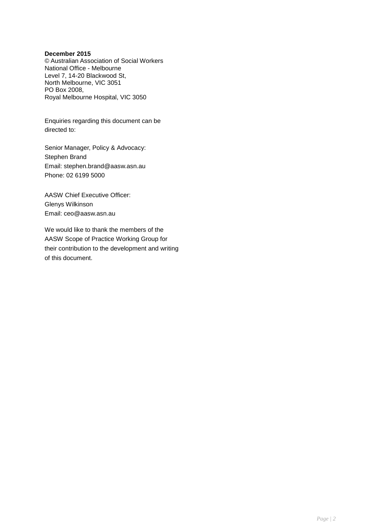#### **December 2015**

© Australian Association of Social Workers National Office - Melbourne Level 7, 14-20 Blackwood St, North Melbourne, VIC 3051 PO Box 2008, Royal Melbourne Hospital, VIC 3050

Enquiries regarding this document can be directed to:

Senior Manager, Policy & Advocacy: Stephen Brand [Email: stephen.brand@aasw.asn.au](mailto:stephen.brand@aasw.asn.au) Phone: 02 6199 5000

AASW Chief Executive Officer: Glenys Wilkinson [Email: ceo@aasw.asn.au](mailto:ceo@aasw.asn.au)

We would like to thank the members of the AASW Scope of Practice Working Group for their contribution to the development and writing of this document.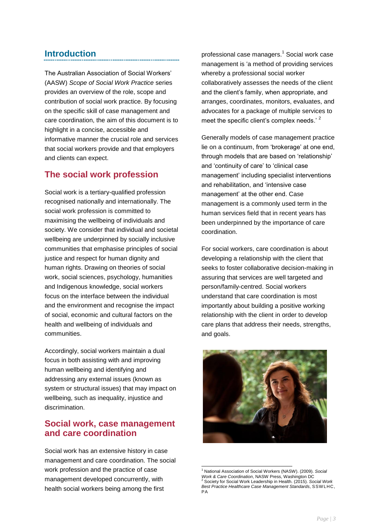# **Introduction**

The Australian Association of Social Workers' (AASW) *Scope of Social Work Practice* series provides an overview of the role, scope and contribution of social work practice. By focusing on the specific skill of case management and care coordination, the aim of this document is to highlight in a concise, accessible and informative manner the crucial role and services that social workers provide and that employers and clients can expect.

# **The social work profession**

Social work is a tertiary-qualified profession recognised nationally and internationally. The social work profession is committed to maximising the wellbeing of individuals and society. We consider that individual and societal wellbeing are underpinned by socially inclusive communities that emphasise principles of social justice and respect for human dignity and human rights. Drawing on theories of social work, social sciences, psychology, humanities and Indigenous knowledge, social workers focus on the interface between the individual and the environment and recognise the impact of social, economic and cultural factors on the health and wellbeing of individuals and communities.

Accordingly, social workers maintain a dual focus in both assisting with and improving human wellbeing and identifying and addressing any external issues (known as system or structural issues) that may impact on wellbeing, such as inequality, injustice and discrimination.

### **Social work, case management and care coordination**

Social work has an extensive history in case management and care coordination. The social work profession and the practice of case management developed concurrently, with health social workers being among the first

professional case managers.<sup>1</sup> Social work case management is 'a method of providing services whereby a professional social worker collaboratively assesses the needs of the client and the client's family, when appropriate, and arranges, coordinates, monitors, evaluates, and advocates for a package of multiple services to meet the specific client's complex needs.' <sup>2</sup>

Generally models of case management practice lie on a continuum, from 'brokerage' at one end, through models that are based on 'relationship' and 'continuity of care' to 'clinical case management' including specialist interventions and rehabilitation, and 'intensive case management' at the other end. Case management is a commonly used term in the human services field that in recent years has been underpinned by the importance of care coordination.

For social workers, care coordination is about developing a relationship with the client that seeks to foster collaborative decision-making in assuring that services are well targeted and person/family-centred. Social workers understand that care coordination is most importantly about building a positive working relationship with the client in order to develop care plans that address their needs, strengths, and goals.



<sup>1</sup> <sup>1</sup> National Association of Social Workers (NASW). (2009). *Social Work & Care Coordination*, NASW Press, Washington DC <sup>2</sup> Society for Social Work Leadership in Health. (2015). *Social Work Best Practice Healthcare Case Management Standards*, SSW LHC, PA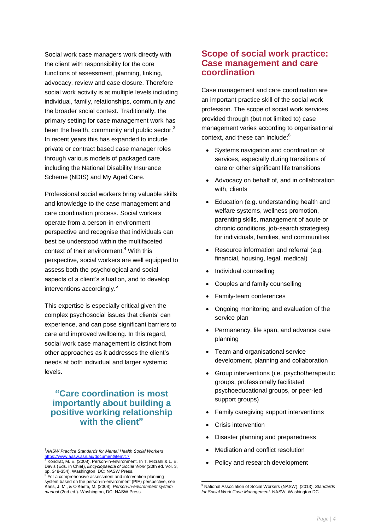Social work case managers work directly with the client with responsibility for the core functions of assessment, planning, linking, advocacy, review and case closure. Therefore social work activity is at multiple levels including individual, family, relationships, community and the broader social context. Traditionally, the primary setting for case management work has been the health, community and public sector. $^3$ In recent years this has expanded to include private or contract based case manager roles through various models of packaged care, including the National Disability Insurance Scheme (NDIS) and My Aged Care.

Professional social workers bring valuable skills and knowledge to the case management and care coordination process. Social workers operate from a person-in-environment perspective and recognise that individuals can best be understood within the multifaceted context of their environment.<sup>4</sup> With this perspective, social workers are well equipped to assess both the psychological and social aspects of a client's situation, and to develop interventions accordingly.<sup>5</sup>

This expertise is especially critical given the complex psychosocial issues that clients' can experience, and can pose significant barriers to care and improved wellbeing. In this regard, social work case management is distinct from other approaches as it addresses the client's needs at both individual and larger systemic levels.

#### **"Care coordination is most importantly about building a positive working relationship with the client"**

#### **Scope of social work practice: Case management and care coordination**

Case management and care coordination are an important practice skill of the social work profession. The scope of social work services provided through (but not limited to) case management varies according to organisational context, and these can include:<sup>6</sup>

- Systems navigation and coordination of services, especially during transitions of care or other significant life transitions
- Advocacy on behalf of, and in collaboration with, clients
- Education (e.g. understanding health and welfare systems, wellness promotion, parenting skills, management of acute or chronic conditions, job-search strategies) for individuals, families, and communities
- Resource information and referral (e.g. financial, housing, legal, medical)
- Individual counselling
- Couples and family counselling
- Family-team conferences
- Ongoing monitoring and evaluation of the service plan
- Permanency, life span, and advance care planning
- Team and organisational service development, planning and collaboration
- Group interventions (i.e. psychotherapeutic groups, professionally facilitated psychoeducational groups, or peer-led support groups)
- Family caregiving support interventions
- Crisis intervention
- Disaster planning and preparedness
- Mediation and conflict resolution
- Policy and research development

l <sup>3</sup>*AASW Practice Standards for Mental Health Social Workers*

<sup>&</sup>lt;u><https://www.aasw.asn.au/document/item/17></u><br><sup>4</sup> Kondrat, M. E. (2008). Person-in-environment. In T. Mizrahi & L. E. Davis (Eds. in Chief), *Encyclopaedia of Social Work* (20th ed. Vol. 3, pp. 348-354). Washington, DC: NASW Press. 5 For a comprehensive assessment and intervention planning

system based on the person-in-environment (PIE) perspective, see Karls, J. M., & O'Keefe, M. (2008). *Person-in-environment system manual* (2nd ed.). Washington, DC: NASW Press.

<sup>-</sup><sup>6</sup> National Association of Social Workers (NASW). (2013). *Standards for Social Work Case Management.* NASW, Washington DC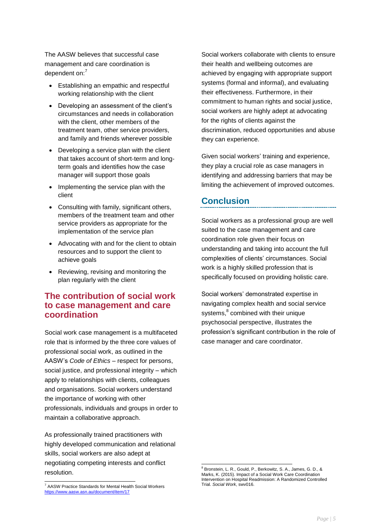The AASW believes that successful case management and care coordination is dependent on:<sup>7</sup>

- Establishing an empathic and respectful working relationship with the client
- Developing an assessment of the client's circumstances and needs in collaboration with the client, other members of the treatment team, other service providers, and family and friends wherever possible
- Developing a service plan with the client that takes account of short‐term and long‐ term goals and identifies how the case manager will support those goals
- Implementing the service plan with the client
- Consulting with family, significant others, members of the treatment team and other service providers as appropriate for the implementation of the service plan
- Advocating with and for the client to obtain resources and to support the client to achieve goals
- Reviewing, revising and monitoring the plan regularly with the client

#### **The contribution of social work to case management and care coordination**

Social work case management is a multifaceted role that is informed by the three core values of professional social work, as outlined in the AASW's *Code of Ethics* – respect for persons, social justice, and professional integrity – which apply to relationships with clients, colleagues and organisations. Social workers understand the importance of working with other professionals, individuals and groups in order to maintain a collaborative approach.

As professionally trained practitioners with highly developed communication and relational skills, social workers are also adept at negotiating competing interests and conflict resolution.

Social workers collaborate with clients to ensure their health and wellbeing outcomes are achieved by engaging with appropriate support systems (formal and informal), and evaluating their effectiveness. Furthermore, in their commitment to human rights and social justice, social workers are highly adept at advocating for the rights of clients against the discrimination, reduced opportunities and abuse they can experience.

Given social workers' training and experience, they play a crucial role as case managers in identifying and addressing barriers that may be limiting the achievement of improved outcomes.

# **Conclusion**

Social workers as a professional group are well suited to the case management and care coordination role given their focus on understanding and taking into account the full complexities of clients' circumstances. Social work is a highly skilled profession that is specifically focused on providing holistic care.

Social workers' demonstrated expertise in navigating complex health and social service systems, 8 combined with their unique psychosocial perspective, illustrates the profession's significant contribution in the role of case manager and care coordinator.

l <sup>7</sup> AASW Practice Standards for Mental Health Social Workers <https://www.aasw.asn.au/document/item/17>

<sup>1</sup> <sup>8</sup> Bronstein, L. R., Gould, P., Berkowitz, S. A., James, G. D., & Marks, K. (2015). Impact of a Social Work Care Coordination Intervention on Hospital Readmission: A Randomized Controlled Trial. *Social Work*, swv016.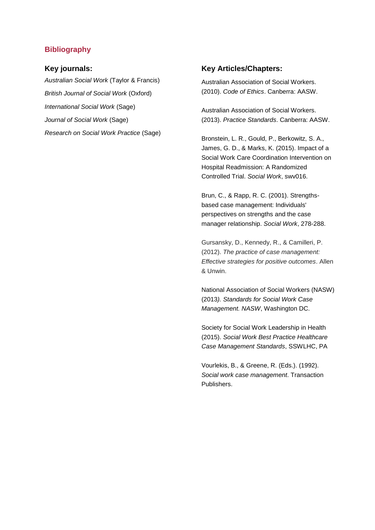#### **Bibliography**

#### **Key journals:**

*Australian Social Work* (Taylor & Francis) *British Journal of Social Work* (Oxford) *International Social Work* (Sage) *Journal of Social Work* (Sage) *Research on Social Work Practice* (Sage)

#### **Key Articles/Chapters:**

Australian Association of Social Workers. (2010). *Code of Ethics*. Canberra: AASW.

Australian Association of Social Workers. (2013). *Practice Standards*. Canberra: AASW.

Bronstein, L. R., Gould, P., Berkowitz, S. A., James, G. D., & Marks, K. (2015). Impact of a Social Work Care Coordination Intervention on Hospital Readmission: A Randomized Controlled Trial. *Social Work*, swv016.

Brun, C., & Rapp, R. C. (2001). Strengthsbased case management: Individuals' perspectives on strengths and the case manager relationship. *Social Work*, 278-288.

Gursansky, D., Kennedy, R., & Camilleri, P. (2012). *The practice of case management: Effective strategies for positive outcomes*. Allen & Unwin.

National Association of Social Workers (NASW) (2013*). Standards for Social Work Case Management. NASW*, Washington DC.

Society for Social Work Leadership in Health (2015). *Social Work Best Practice Healthcare Case Management Standards*, SSWLHC, PA

Vourlekis, B., & Greene, R. (Eds.). (1992). *Social work case management*. Transaction Publishers.